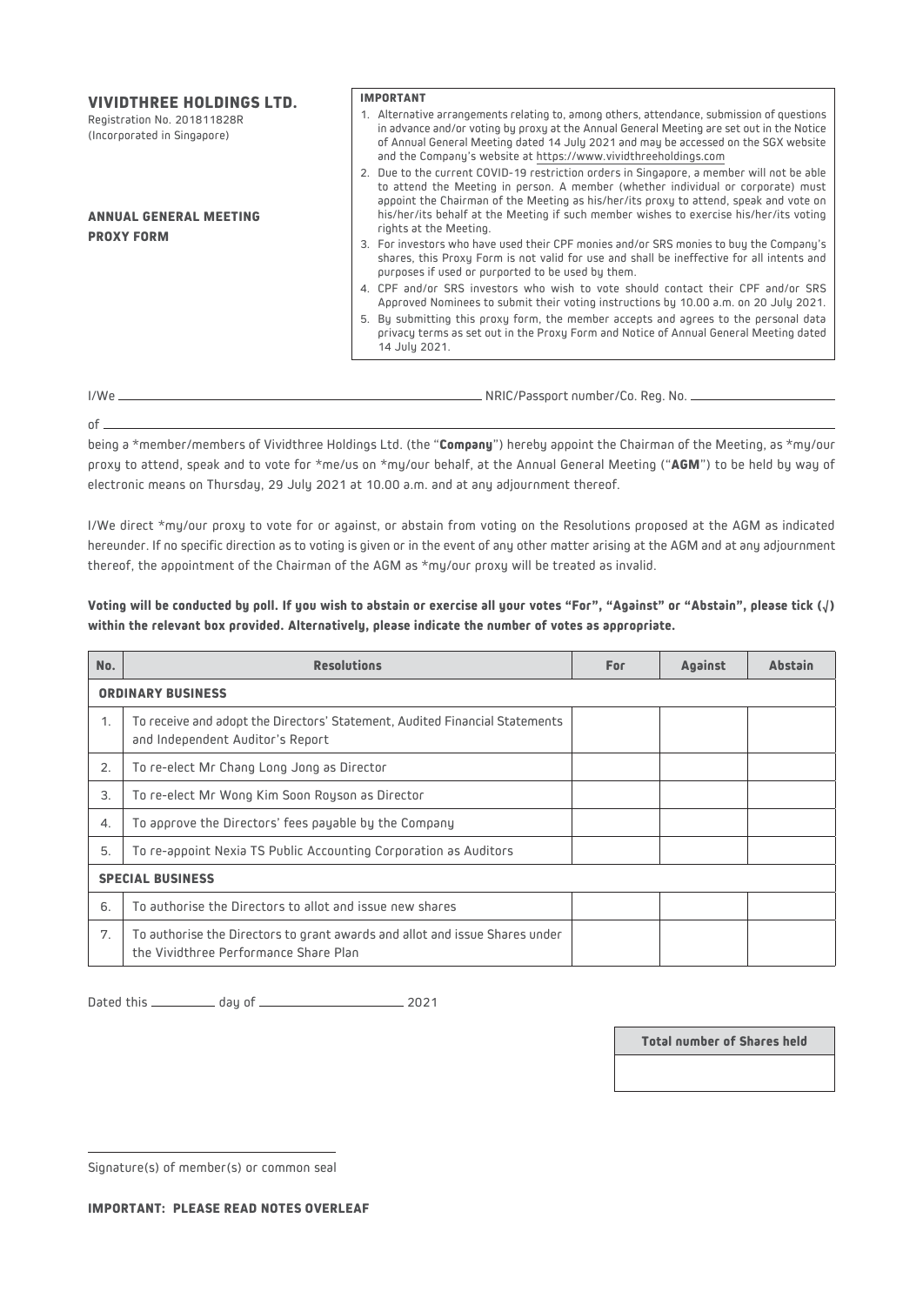| <b>VIVIDTHREE HOLDINGS LTD.</b><br>Registration No. 201811828R<br>(Incorporated in Singapore) | <b>IMPORTANT</b><br>1. Alternative arrangements relating to, among others, attendance, submission of questions<br>in advance and/or voting by proxy at the Annual General Meeting are set out in the Notice<br>of Annual General Meeting dated 14 July 2021 and may be accessed on the SGX website<br>and the Company's website at https://www.vividthreeholdings.com                      |
|-----------------------------------------------------------------------------------------------|--------------------------------------------------------------------------------------------------------------------------------------------------------------------------------------------------------------------------------------------------------------------------------------------------------------------------------------------------------------------------------------------|
| <b>ANNUAL GENERAL MEETING</b><br><b>PROXY FORM</b>                                            | 2. Due to the current COVID-19 restriction orders in Singapore, a member will not be able<br>to attend the Meeting in person. A member (whether individual or corporate) must<br>appoint the Chairman of the Meeting as his/her/its proxy to attend, speak and vote on<br>his/her/its behalf at the Meeting if such member wishes to exercise his/her/its voting<br>rights at the Meeting. |
|                                                                                               | 3. For investors who have used their CPF monies and/or SRS monies to buy the Company's<br>shares, this Proxy Form is not valid for use and shall be ineffective for all intents and<br>purposes if used or purported to be used by them.                                                                                                                                                   |
|                                                                                               | 4. CPF and/or SRS investors who wish to vote should contact their CPF and/or SRS<br>Approved Nominees to submit their voting instructions by 10.00 a.m. on 20 July 2021.<br>5. By submitting this proxy form, the member accepts and agrees to the personal data<br>privacy terms as set out in the Proxy Form and Notice of Annual General Meeting dated                                  |
|                                                                                               | 14 July 2021.                                                                                                                                                                                                                                                                                                                                                                              |

 $of =$ 

I/We  $\frac{1}{\sqrt{2}}$  NRIC/Passport number/Co. Reg. No.

being a \*member/members of Vividthree Holdings Ltd. (the "**Company**") hereby appoint the Chairman of the Meeting, as \*my/our proxy to attend, speak and to vote for \*me/us on \*my/our behalf, at the Annual General Meeting ("**AGM**") to be held by way of electronic means on Thursday, 29 July 2021 at 10.00 a.m. and at any adjournment thereof.

I/We direct \*my/our proxy to vote for or against, or abstain from voting on the Resolutions proposed at the AGM as indicated hereunder. If no specific direction as to voting is given or in the event of any other matter arising at the AGM and at any adjournment thereof, the appointment of the Chairman of the AGM as \*my/our proxy will be treated as invalid.

| Voting will be conducted by poll. If you wish to abstain or exercise all your votes "For", "Against" or "Abstain", please tick $(J)$ |  |  |
|--------------------------------------------------------------------------------------------------------------------------------------|--|--|
| within the relevant box provided. Alternatively, please indicate the number of votes as appropriate.                                 |  |  |
|                                                                                                                                      |  |  |

| No.                     | <b>Resolutions</b>                                                                                                   | For | <b>Against</b> | <b>Abstain</b> |  |  |
|-------------------------|----------------------------------------------------------------------------------------------------------------------|-----|----------------|----------------|--|--|
|                         | <b>ORDINARY BUSINESS</b>                                                                                             |     |                |                |  |  |
| 1.                      | To receive and adopt the Directors' Statement, Audited Financial Statements<br>and Independent Auditor's Report      |     |                |                |  |  |
| 2.                      | To re-elect Mr Chang Long Jong as Director                                                                           |     |                |                |  |  |
| 3.                      | To re-elect Mr Wong Kim Soon Royson as Director                                                                      |     |                |                |  |  |
| 4.                      | To approve the Directors' fees payable by the Company                                                                |     |                |                |  |  |
| 5.                      | To re-appoint Nexia TS Public Accounting Corporation as Auditors                                                     |     |                |                |  |  |
| <b>SPECIAL BUSINESS</b> |                                                                                                                      |     |                |                |  |  |
| 6.                      | To authorise the Directors to allot and issue new shares                                                             |     |                |                |  |  |
| 7.                      | To authorise the Directors to grant awards and allot and issue Shares under<br>the Vividthree Performance Share Plan |     |                |                |  |  |

Dated this day of 2021

**Total number of Shares held**

Signature(s) of member(s) or common seal